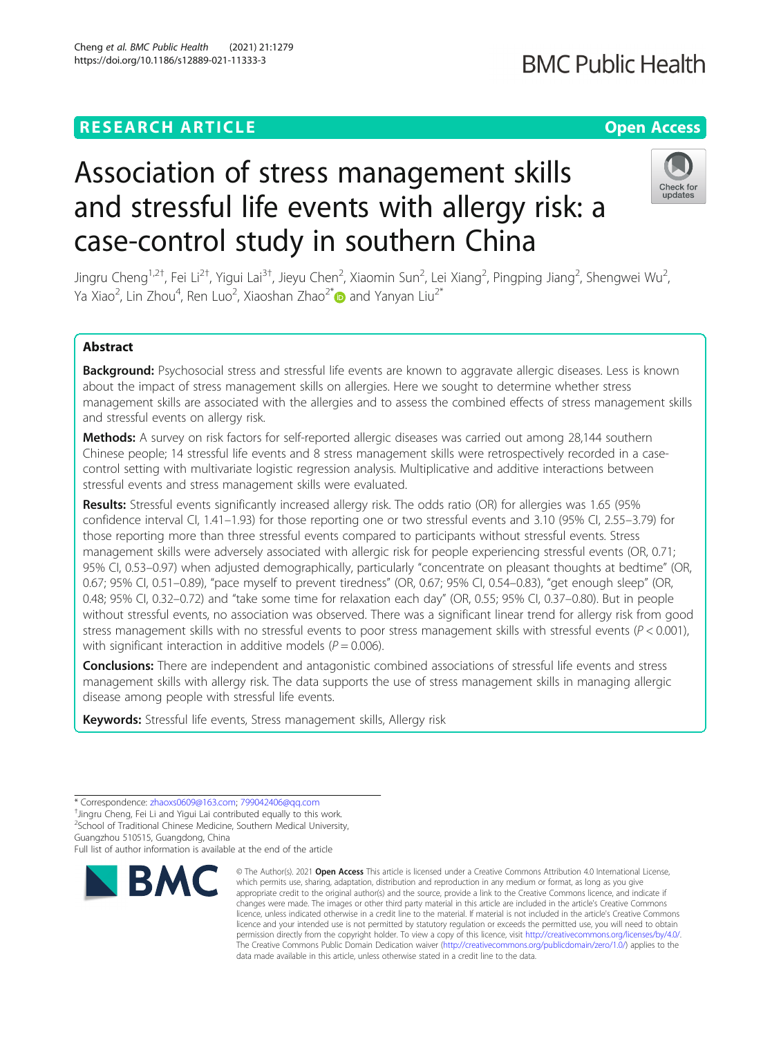## **RESEARCH ARTICLE Example 2014 12:30 The Contract of Contract ACCESS**

# Association of stress management skills and stressful life events with allergy risk: a case-control study in southern China

Jingru Cheng<sup>1,2†</sup>, Fei Li<sup>2†</sup>, Yigui Lai<sup>3†</sup>, Jieyu Chen<sup>2</sup>, Xiaomin Sun<sup>2</sup>, Lei Xiang<sup>2</sup>, Pingping Jiang<sup>2</sup>, Shengwei Wu<sup>2</sup> , Ya Xiao $^2$ , Lin Zhou $^4$ , Ren Luo $^2$ , Xiaoshan Zhao $^{2^\ast}$  $\rm \bullet$  and Yanyan Liu $^{2^\ast}$ 

### Abstract

Background: Psychosocial stress and stressful life events are known to aggravate allergic diseases. Less is known about the impact of stress management skills on allergies. Here we sought to determine whether stress management skills are associated with the allergies and to assess the combined effects of stress management skills and stressful events on allergy risk.

Methods: A survey on risk factors for self-reported allergic diseases was carried out among 28,144 southern Chinese people; 14 stressful life events and 8 stress management skills were retrospectively recorded in a casecontrol setting with multivariate logistic regression analysis. Multiplicative and additive interactions between stressful events and stress management skills were evaluated.

Results: Stressful events significantly increased allergy risk. The odds ratio (OR) for allergies was 1.65 (95% confidence interval CI, 1.41–1.93) for those reporting one or two stressful events and 3.10 (95% CI, 2.55–3.79) for those reporting more than three stressful events compared to participants without stressful events. Stress management skills were adversely associated with allergic risk for people experiencing stressful events (OR, 0.71; 95% CI, 0.53–0.97) when adjusted demographically, particularly "concentrate on pleasant thoughts at bedtime" (OR, 0.67; 95% CI, 0.51–0.89), "pace myself to prevent tiredness" (OR, 0.67; 95% CI, 0.54–0.83), "get enough sleep" (OR, 0.48; 95% CI, 0.32–0.72) and "take some time for relaxation each day" (OR, 0.55; 95% CI, 0.37–0.80). But in people without stressful events, no association was observed. There was a significant linear trend for allergy risk from good stress management skills with no stressful events to poor stress management skills with stressful events ( $P < 0.001$ ), with significant interaction in additive models ( $P = 0.006$ ).

**Conclusions:** There are independent and antagonistic combined associations of stressful life events and stress management skills with allergy risk. The data supports the use of stress management skills in managing allergic disease among people with stressful life events.

Keywords: Stressful life events, Stress management skills, Allergy risk

<sup>+</sup>Jingru Cheng, Fei Li and Yigui Lai contributed equally to this work. <sup>2</sup>School of Traditional Chinese Medicine, Southern Medical University,

Guangzhou 510515, Guangdong, China

Full list of author information is available at the end of the article

© The Author(s), 2021 **Open Access** This article is licensed under a Creative Commons Attribution 4.0 International License,



<sup>\*</sup> Correspondence: [zhaoxs0609@163.com;](mailto:zhaoxs0609@163.com) [799042406@qq.com](mailto:799042406@qq.com) †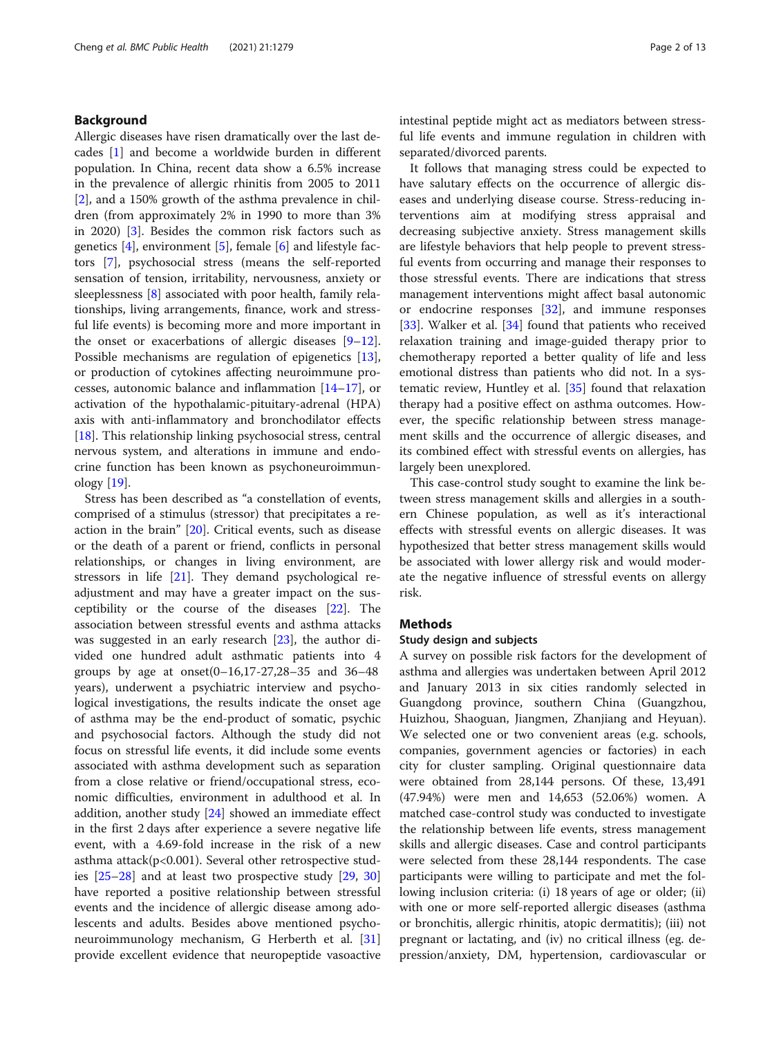#### Background

Allergic diseases have risen dramatically over the last decades [\[1](#page-11-0)] and become a worldwide burden in different population. In China, recent data show a 6.5% increase in the prevalence of allergic rhinitis from 2005 to 2011 [[2\]](#page-11-0), and a 150% growth of the asthma prevalence in children (from approximately 2% in 1990 to more than 3% in 2020) [[3\]](#page-11-0). Besides the common risk factors such as genetics  $[4]$  $[4]$  $[4]$ , environment  $[5]$  $[5]$ , female  $[6]$  $[6]$  and lifestyle factors [[7\]](#page-11-0), psychosocial stress (means the self-reported sensation of tension, irritability, nervousness, anxiety or sleeplessness [\[8](#page-11-0)] associated with poor health, family relationships, living arrangements, finance, work and stressful life events) is becoming more and more important in the onset or exacerbations of allergic diseases  $[9-12]$  $[9-12]$  $[9-12]$  $[9-12]$  $[9-12]$ . Possible mechanisms are regulation of epigenetics [\[13](#page-11-0)], or production of cytokines affecting neuroimmune processes, autonomic balance and inflammation [[14](#page-11-0)–[17](#page-11-0)], or activation of the hypothalamic-pituitary-adrenal (HPA) axis with anti-inflammatory and bronchodilator effects [[18\]](#page-11-0). This relationship linking psychosocial stress, central nervous system, and alterations in immune and endocrine function has been known as psychoneuroimmunology [[19\]](#page-11-0).

Stress has been described as "a constellation of events, comprised of a stimulus (stressor) that precipitates a reaction in the brain" [[20](#page-11-0)]. Critical events, such as disease or the death of a parent or friend, conflicts in personal relationships, or changes in living environment, are stressors in life [[21\]](#page-11-0). They demand psychological readjustment and may have a greater impact on the susceptibility or the course of the diseases [[22\]](#page-11-0). The association between stressful events and asthma attacks was suggested in an early research [\[23](#page-11-0)], the author divided one hundred adult asthmatic patients into 4 groups by age at onset(0–16,17-27,28–35 and 36–48 years), underwent a psychiatric interview and psychological investigations, the results indicate the onset age of asthma may be the end-product of somatic, psychic and psychosocial factors. Although the study did not focus on stressful life events, it did include some events associated with asthma development such as separation from a close relative or friend/occupational stress, economic difficulties, environment in adulthood et al. In addition, another study [[24\]](#page-11-0) showed an immediate effect in the first 2 days after experience a severe negative life event, with a 4.69-fold increase in the risk of a new asthma attack $(p<0.001)$ . Several other retrospective studies [[25](#page-11-0)–[28](#page-11-0)] and at least two prospective study [\[29](#page-11-0), [30](#page-11-0)] have reported a positive relationship between stressful events and the incidence of allergic disease among adolescents and adults. Besides above mentioned psychoneuroimmunology mechanism, G Herberth et al. [[31](#page-11-0)] provide excellent evidence that neuropeptide vasoactive intestinal peptide might act as mediators between stressful life events and immune regulation in children with separated/divorced parents.

It follows that managing stress could be expected to have salutary effects on the occurrence of allergic diseases and underlying disease course. Stress-reducing interventions aim at modifying stress appraisal and decreasing subjective anxiety. Stress management skills are lifestyle behaviors that help people to prevent stressful events from occurring and manage their responses to those stressful events. There are indications that stress management interventions might affect basal autonomic or endocrine responses  $[32]$  $[32]$ , and immune responses [[33\]](#page-11-0). Walker et al. [\[34\]](#page-11-0) found that patients who received relaxation training and image-guided therapy prior to chemotherapy reported a better quality of life and less emotional distress than patients who did not. In a systematic review, Huntley et al. [\[35](#page-11-0)] found that relaxation therapy had a positive effect on asthma outcomes. However, the specific relationship between stress management skills and the occurrence of allergic diseases, and its combined effect with stressful events on allergies, has largely been unexplored.

This case-control study sought to examine the link between stress management skills and allergies in a southern Chinese population, as well as it's interactional effects with stressful events on allergic diseases. It was hypothesized that better stress management skills would be associated with lower allergy risk and would moderate the negative influence of stressful events on allergy risk.

#### Methods

#### Study design and subjects

A survey on possible risk factors for the development of asthma and allergies was undertaken between April 2012 and January 2013 in six cities randomly selected in Guangdong province, southern China (Guangzhou, Huizhou, Shaoguan, Jiangmen, Zhanjiang and Heyuan). We selected one or two convenient areas (e.g. schools, companies, government agencies or factories) in each city for cluster sampling. Original questionnaire data were obtained from 28,144 persons. Of these, 13,491 (47.94%) were men and 14,653 (52.06%) women. A matched case-control study was conducted to investigate the relationship between life events, stress management skills and allergic diseases. Case and control participants were selected from these 28,144 respondents. The case participants were willing to participate and met the following inclusion criteria: (i) 18 years of age or older; (ii) with one or more self-reported allergic diseases (asthma or bronchitis, allergic rhinitis, atopic dermatitis); (iii) not pregnant or lactating, and (iv) no critical illness (eg. depression/anxiety, DM, hypertension, cardiovascular or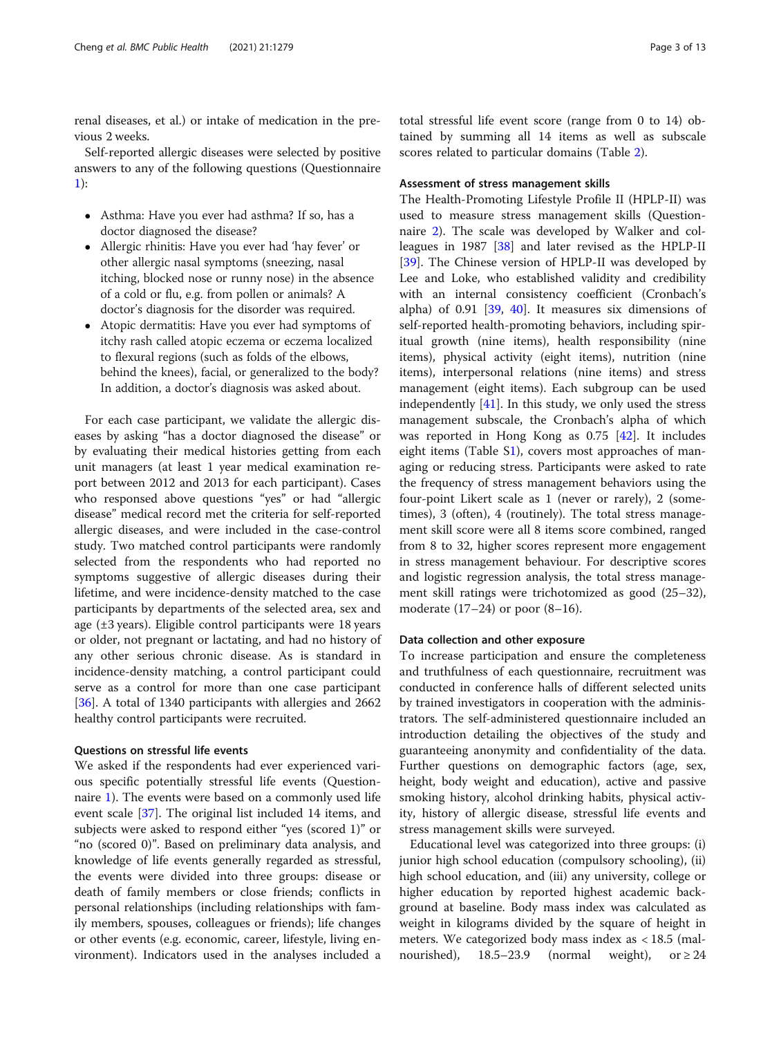renal diseases, et al.) or intake of medication in the previous 2 weeks.

Self-reported allergic diseases were selected by positive answers to any of the following questions (Questionnaire [1\)](#page-10-0):

- Asthma: Have you ever had asthma? If so, has a doctor diagnosed the disease?
- Allergic rhinitis: Have you ever had 'hay fever' or other allergic nasal symptoms (sneezing, nasal itching, blocked nose or runny nose) in the absence of a cold or flu, e.g. from pollen or animals? A doctor's diagnosis for the disorder was required.
- Atopic dermatitis: Have you ever had symptoms of itchy rash called atopic eczema or eczema localized to flexural regions (such as folds of the elbows, behind the knees), facial, or generalized to the body? In addition, a doctor's diagnosis was asked about.

For each case participant, we validate the allergic diseases by asking "has a doctor diagnosed the disease" or by evaluating their medical histories getting from each unit managers (at least 1 year medical examination report between 2012 and 2013 for each participant). Cases who responsed above questions "yes" or had "allergic disease" medical record met the criteria for self-reported allergic diseases, and were included in the case-control study. Two matched control participants were randomly selected from the respondents who had reported no symptoms suggestive of allergic diseases during their lifetime, and were incidence-density matched to the case participants by departments of the selected area, sex and age (±3 years). Eligible control participants were 18 years or older, not pregnant or lactating, and had no history of any other serious chronic disease. As is standard in incidence-density matching, a control participant could serve as a control for more than one case participant [[36\]](#page-11-0). A total of 1340 participants with allergies and 2662 healthy control participants were recruited.

#### Questions on stressful life events

We asked if the respondents had ever experienced various specific potentially stressful life events (Questionnaire [1](#page-10-0)). The events were based on a commonly used life event scale [\[37\]](#page-11-0). The original list included 14 items, and subjects were asked to respond either "yes (scored 1)" or "no (scored 0)". Based on preliminary data analysis, and knowledge of life events generally regarded as stressful, the events were divided into three groups: disease or death of family members or close friends; conflicts in personal relationships (including relationships with family members, spouses, colleagues or friends); life changes or other events (e.g. economic, career, lifestyle, living environment). Indicators used in the analyses included a

total stressful life event score (range from 0 to 14) obtained by summing all 14 items as well as subscale scores related to particular domains (Table [2\)](#page-4-0).

#### Assessment of stress management skills

The Health-Promoting Lifestyle Profile II (HPLP-II) was used to measure stress management skills (Questionnaire [2\)](#page-10-0). The scale was developed by Walker and colleagues in 1987 [[38](#page-11-0)] and later revised as the HPLP-II [[39\]](#page-11-0). The Chinese version of HPLP-II was developed by Lee and Loke, who established validity and credibility with an internal consistency coefficient (Cronbach's alpha) of 0.91 [\[39](#page-11-0), [40](#page-11-0)]. It measures six dimensions of self-reported health-promoting behaviors, including spiritual growth (nine items), health responsibility (nine items), physical activity (eight items), nutrition (nine items), interpersonal relations (nine items) and stress management (eight items). Each subgroup can be used independently [[41\]](#page-11-0). In this study, we only used the stress management subscale, the Cronbach's alpha of which was reported in Hong Kong as 0.75 [[42\]](#page-11-0). It includes eight items (Table S[1\)](#page-10-0), covers most approaches of managing or reducing stress. Participants were asked to rate the frequency of stress management behaviors using the four-point Likert scale as 1 (never or rarely), 2 (sometimes), 3 (often), 4 (routinely). The total stress management skill score were all 8 items score combined, ranged from 8 to 32, higher scores represent more engagement in stress management behaviour. For descriptive scores and logistic regression analysis, the total stress management skill ratings were trichotomized as good (25–32), moderate (17–24) or poor (8–16).

#### Data collection and other exposure

To increase participation and ensure the completeness and truthfulness of each questionnaire, recruitment was conducted in conference halls of different selected units by trained investigators in cooperation with the administrators. The self-administered questionnaire included an introduction detailing the objectives of the study and guaranteeing anonymity and confidentiality of the data. Further questions on demographic factors (age, sex, height, body weight and education), active and passive smoking history, alcohol drinking habits, physical activity, history of allergic disease, stressful life events and stress management skills were surveyed.

Educational level was categorized into three groups: (i) junior high school education (compulsory schooling), (ii) high school education, and (iii) any university, college or higher education by reported highest academic background at baseline. Body mass index was calculated as weight in kilograms divided by the square of height in meters. We categorized body mass index as < 18.5 (malnourished),  $18.5-23.9$  (normal weight), or  $\geq 24$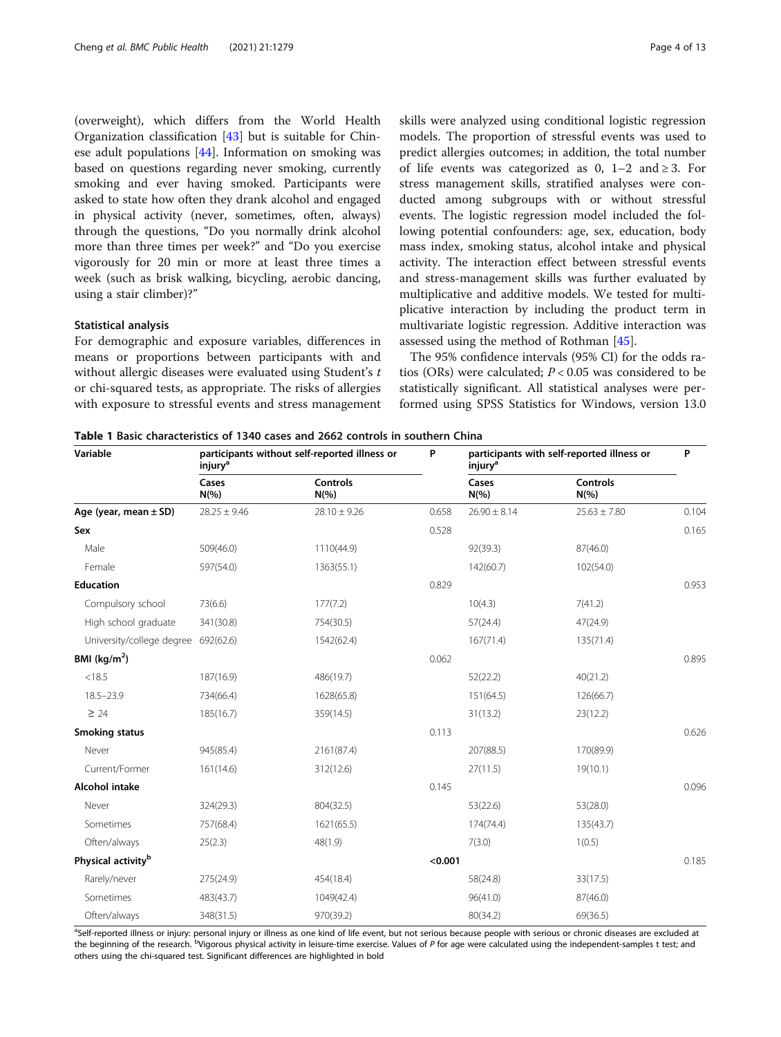<span id="page-3-0"></span>(overweight), which differs from the World Health Organization classification [[43](#page-11-0)] but is suitable for Chinese adult populations [[44\]](#page-11-0). Information on smoking was based on questions regarding never smoking, currently smoking and ever having smoked. Participants were asked to state how often they drank alcohol and engaged in physical activity (never, sometimes, often, always) through the questions, "Do you normally drink alcohol more than three times per week?" and "Do you exercise vigorously for 20 min or more at least three times a week (such as brisk walking, bicycling, aerobic dancing, using a stair climber)?"

#### Statistical analysis

For demographic and exposure variables, differences in means or proportions between participants with and without allergic diseases were evaluated using Student's t or chi-squared tests, as appropriate. The risks of allergies with exposure to stressful events and stress management

Variable participants without self-reported illness or injury<sup>a</sup>

Cases

skills were analyzed using conditional logistic regression models. The proportion of stressful events was used to predict allergies outcomes; in addition, the total number of life events was categorized as 0,  $1-2$  and  $\geq 3$ . For stress management skills, stratified analyses were conducted among subgroups with or without stressful events. The logistic regression model included the following potential confounders: age, sex, education, body mass index, smoking status, alcohol intake and physical activity. The interaction effect between stressful events and stress-management skills was further evaluated by multiplicative and additive models. We tested for multiplicative interaction by including the product term in multivariate logistic regression. Additive interaction was assessed using the method of Rothman [[45\]](#page-12-0).

The 95% confidence intervals (95% CI) for the odds ratios (ORs) were calculated;  $P < 0.05$  was considered to be statistically significant. All statistical analyses were performed using SPSS Statistics for Windows, version 13.0

Controls

P participants with self-reported illness or

injury<sup>a</sup>

Cases

Table 1 Basic characteristics of 1340 cases and 2662 controls in southern China

Controls

|                                     | $N(\% )$         | $N(\%)$          |         | $N(\%)$          | $N(\%)$          |       |
|-------------------------------------|------------------|------------------|---------|------------------|------------------|-------|
| Age (year, mean $\pm$ SD)           | $28.25 \pm 9.46$ | $28.10 \pm 9.26$ | 0.658   | $26.90 \pm 8.14$ | $25.63 \pm 7.80$ | 0.104 |
| Sex                                 |                  |                  | 0.528   |                  |                  | 0.165 |
| Male                                | 509(46.0)        | 1110(44.9)       |         | 92(39.3)         | 87(46.0)         |       |
| Female                              | 597(54.0)        | 1363(55.1)       |         | 142(60.7)        | 102(54.0)        |       |
| <b>Education</b>                    |                  |                  | 0.829   |                  |                  | 0.953 |
| Compulsory school                   | 73(6.6)          | 177(7.2)         |         | 10(4.3)          | 7(41.2)          |       |
| High school graduate                | 341(30.8)        | 754(30.5)        |         | 57(24.4)         | 47(24.9)         |       |
| University/college degree 692(62.6) |                  | 1542(62.4)       |         | 167(71.4)        | 135(71.4)        |       |
| BMI $(kg/m2)$                       |                  |                  | 0.062   |                  |                  | 0.895 |
| < 18.5                              | 187(16.9)        | 486(19.7)        |         | 52(22.2)         | 40(21.2)         |       |
| $18.5 - 23.9$                       | 734(66.4)        | 1628(65.8)       |         | 151(64.5)        | 126(66.7)        |       |
| $\geq 24$                           | 185(16.7)        | 359(14.5)        |         | 31(13.2)         | 23(12.2)         |       |
| Smoking status                      |                  |                  | 0.113   |                  |                  | 0.626 |
| Never                               | 945(85.4)        | 2161(87.4)       |         | 207(88.5)        | 170(89.9)        |       |
| Current/Former                      | 161(14.6)        | 312(12.6)        |         | 27(11.5)         | 19(10.1)         |       |
| Alcohol intake                      |                  |                  | 0.145   |                  |                  | 0.096 |
| Never                               | 324(29.3)        | 804(32.5)        |         | 53(22.6)         | 53(28.0)         |       |
| Sometimes                           | 757(68.4)        | 1621(65.5)       |         | 174(74.4)        | 135(43.7)        |       |
| Often/always                        | 25(2.3)          | 48(1.9)          |         | 7(3.0)           | 1(0.5)           |       |
| Physical activity <sup>b</sup>      |                  |                  | < 0.001 |                  |                  | 0.185 |
| Rarely/never                        | 275(24.9)        | 454(18.4)        |         | 58(24.8)         | 33(17.5)         |       |
| Sometimes                           | 483(43.7)        | 1049(42.4)       |         | 96(41.0)         | 87(46.0)         |       |
| Often/always                        | 348(31.5)        | 970(39.2)        |         | 80(34.2)         | 69(36.5)         |       |

<sup>a</sup>Self-reported illness or injury: personal injury or illness as one kind of life event, but not serious because people with serious or chronic diseases are excluded at the beginning of the research. <sup>b</sup>Vigorous physical activity in leisure-time exercise. Values of P for age were calculated using the independent-samples t test; and others using the chi-squared test. Significant differences are highlighted in bold

P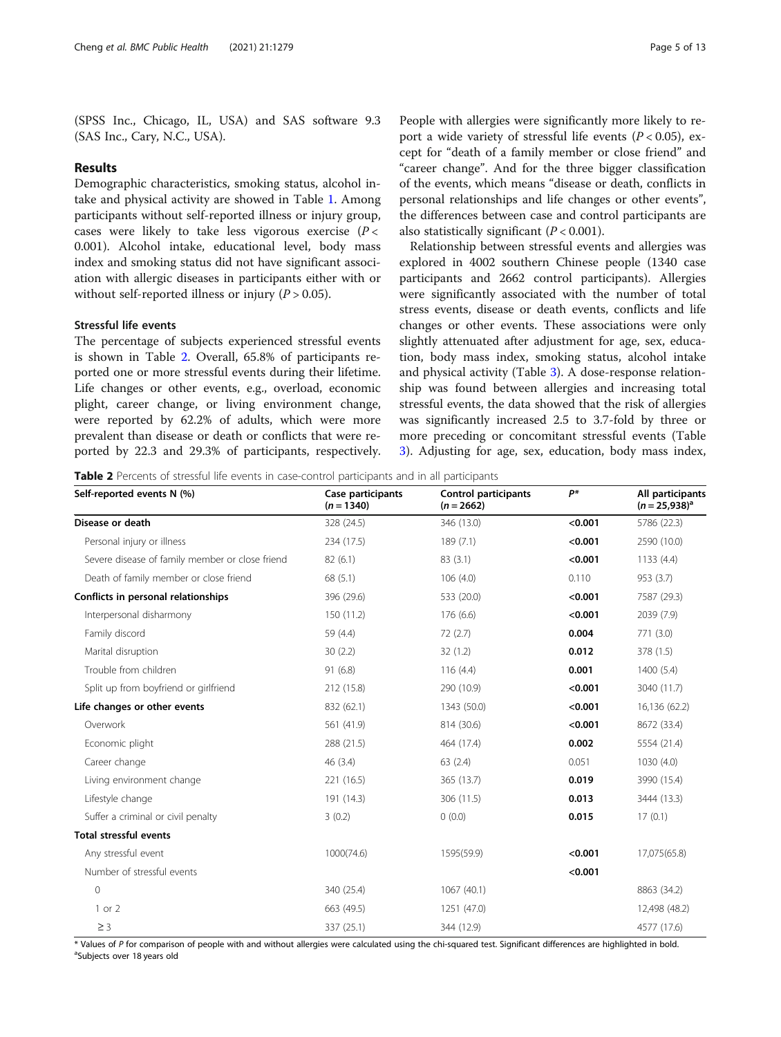<span id="page-4-0"></span>(SPSS Inc., Chicago, IL, USA) and SAS software 9.3 (SAS Inc., Cary, N.C., USA).

#### Results

Demographic characteristics, smoking status, alcohol intake and physical activity are showed in Table [1.](#page-3-0) Among participants without self-reported illness or injury group, cases were likely to take less vigorous exercise  $(P \lt \mathcal{C})$ 0.001). Alcohol intake, educational level, body mass index and smoking status did not have significant association with allergic diseases in participants either with or without self-reported illness or injury ( $P > 0.05$ ).

#### Stressful life events

The percentage of subjects experienced stressful events is shown in Table 2. Overall, 65.8% of participants reported one or more stressful events during their lifetime. Life changes or other events, e.g., overload, economic plight, career change, or living environment change, were reported by 62.2% of adults, which were more prevalent than disease or death or conflicts that were reported by 22.3 and 29.3% of participants, respectively.

People with allergies were significantly more likely to report a wide variety of stressful life events ( $P < 0.05$ ), except for "death of a family member or close friend" and "career change". And for the three bigger classification of the events, which means "disease or death, conflicts in personal relationships and life changes or other events", the differences between case and control participants are also statistically significant  $(P < 0.001)$ .

Relationship between stressful events and allergies was explored in 4002 southern Chinese people (1340 case participants and 2662 control participants). Allergies were significantly associated with the number of total stress events, disease or death events, conflicts and life changes or other events. These associations were only slightly attenuated after adjustment for age, sex, education, body mass index, smoking status, alcohol intake and physical activity (Table [3\)](#page-5-0). A dose-response relationship was found between allergies and increasing total stressful events, the data showed that the risk of allergies was significantly increased 2.5 to 3.7-fold by three or more preceding or concomitant stressful events (Table [3\)](#page-5-0). Adjusting for age, sex, education, body mass index,

Table 2 Percents of stressful life events in case-control participants and in all participants

| Self-reported events N (%)                      | Case participants<br>$(n = 1340)$ | <b>Control participants</b><br>$(n = 2662)$ | p*      | All participants<br>$(n = 25.938)^{a}$ |
|-------------------------------------------------|-----------------------------------|---------------------------------------------|---------|----------------------------------------|
| Disease or death                                | 328 (24.5)                        | 346 (13.0)                                  | < 0.001 | 5786 (22.3)                            |
| Personal injury or illness                      | 234 (17.5)                        | 189(7.1)                                    | < 0.001 | 2590 (10.0)                            |
| Severe disease of family member or close friend | 82(6.1)                           | 83(3.1)                                     | < 0.001 | 1133(4.4)                              |
| Death of family member or close friend          | 68 (5.1)                          | 106(4.0)                                    | 0.110   | 953 (3.7)                              |
| Conflicts in personal relationships             | 396 (29.6)                        | 533 (20.0)                                  | < 0.001 | 7587 (29.3)                            |
| Interpersonal disharmony                        | 150 (11.2)                        | 176 (6.6)                                   | < 0.001 | 2039 (7.9)                             |
| Family discord                                  | 59 (4.4)                          | 72(2.7)                                     | 0.004   | 771 (3.0)                              |
| Marital disruption                              | 30(2.2)                           | 32(1.2)                                     | 0.012   | 378 (1.5)                              |
| Trouble from children                           | 91(6.8)                           | 116(4.4)                                    | 0.001   | 1400 (5.4)                             |
| Split up from boyfriend or girlfriend           | 212 (15.8)                        | 290 (10.9)                                  | < 0.001 | 3040 (11.7)                            |
| Life changes or other events                    | 832 (62.1)                        | 1343 (50.0)                                 | < 0.001 | 16,136 (62.2)                          |
| Overwork                                        | 561 (41.9)                        | 814 (30.6)                                  | < 0.001 | 8672 (33.4)                            |
| Economic plight                                 | 288 (21.5)                        | 464 (17.4)                                  | 0.002   | 5554 (21.4)                            |
| Career change                                   | 46(3.4)                           | 63(2.4)                                     | 0.051   | 1030(4.0)                              |
| Living environment change                       | 221 (16.5)                        | 365 (13.7)                                  | 0.019   | 3990 (15.4)                            |
| Lifestyle change                                | 191 (14.3)                        | 306 (11.5)                                  | 0.013   | 3444 (13.3)                            |
| Suffer a criminal or civil penalty              | 3(0.2)                            | 0(0.0)                                      | 0.015   | 17(0.1)                                |
| <b>Total stressful events</b>                   |                                   |                                             |         |                                        |
| Any stressful event                             | 1000(74.6)                        | 1595(59.9)                                  | < 0.001 | 17,075(65.8)                           |
| Number of stressful events                      |                                   |                                             | < 0.001 |                                        |
| $\mathbf{0}$                                    | 340 (25.4)                        | 1067 (40.1)                                 |         | 8863 (34.2)                            |
| 1 or 2                                          | 663 (49.5)                        | 1251 (47.0)                                 |         | 12,498 (48.2)                          |
| $\geq$ 3                                        | 337 (25.1)                        | 344 (12.9)                                  |         | 4577 (17.6)                            |

\* Values of <sup>P</sup> for comparison of people with and without allergies were calculated using the chi-squared test. Significant differences are highlighted in bold. <sup>a</sup> <sup>a</sup>Subjects over 18 years old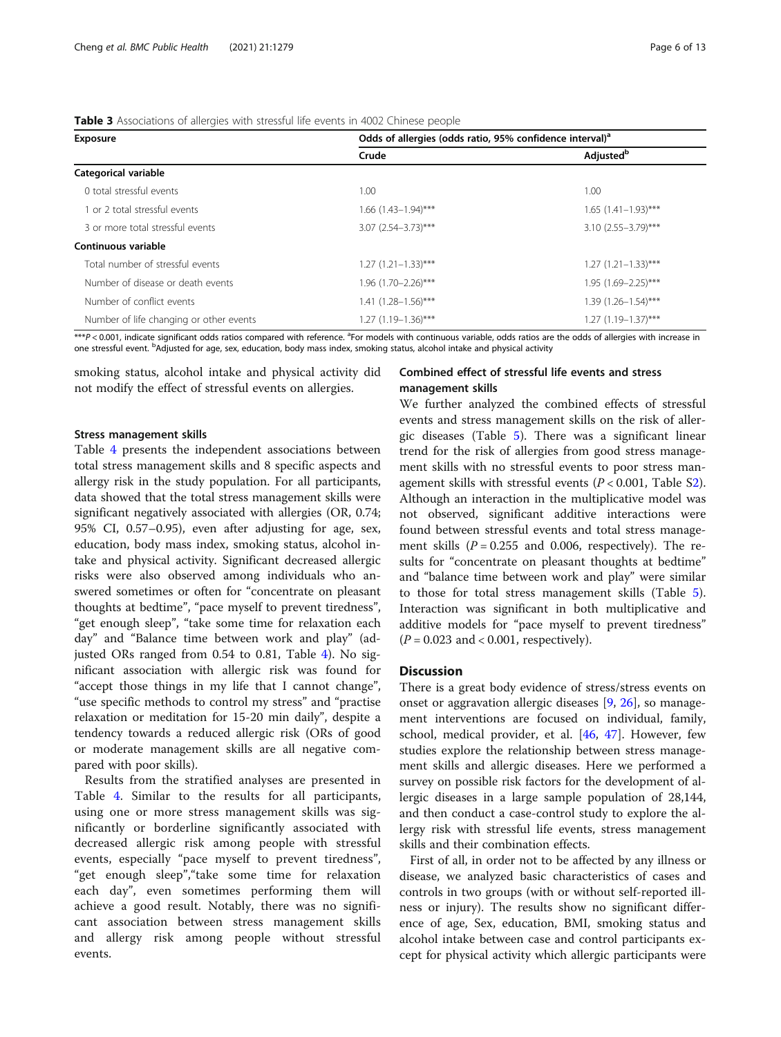| <b>Exposure</b>                         | Odds of allergies (odds ratio, 95% confidence interval) <sup>a</sup> |                            |  |  |  |
|-----------------------------------------|----------------------------------------------------------------------|----------------------------|--|--|--|
|                                         | Crude                                                                | Adjusted <sup>b</sup>      |  |  |  |
| Categorical variable                    |                                                                      |                            |  |  |  |
| 0 total stressful events                | 1.00                                                                 | 1.00                       |  |  |  |
| 1 or 2 total stressful events           | $1.66$ $(1.43 - 1.94)$ ***                                           | $1.65$ $(1.41-1.93)$ ***   |  |  |  |
| 3 or more total stressful events        | $3.07$ (2.54-3.73)***                                                | $3.10(2.55 - 3.79)$ ***    |  |  |  |
| Continuous variable                     |                                                                      |                            |  |  |  |
| Total number of stressful events        | $1.27$ $(1.21 - 1.33)$ ***                                           | $1.27$ $(1.21 - 1.33)$ *** |  |  |  |
| Number of disease or death events       | 1.96 (1.70-2.26)***                                                  | $1.95(1.69 - 2.25)$ ***    |  |  |  |
| Number of conflict events               | 1.41 (1.28-1.56)***                                                  | $1.39(1.26 - 1.54)$ ***    |  |  |  |
| Number of life changing or other events | $1.27$ (1.19-1.36)***                                                | $1.27(1.19-1.37)$ ***      |  |  |  |

<span id="page-5-0"></span>Table 3 Associations of allergies with stressful life events in 4002 Chinese people

 $***$ P < 0.001, indicate significant odds ratios compared with reference.  ${}^{3}$ For models with continuous variable, odds ratios are the odds of allergies with increase in one stressful event. <sup>b</sup>Adjusted for age, sex, education, body mass index, smoking status, alcohol intake and physical activity

smoking status, alcohol intake and physical activity did not modify the effect of stressful events on allergies.

#### Stress management skills

Table [4](#page-6-0) presents the independent associations between total stress management skills and 8 specific aspects and allergy risk in the study population. For all participants, data showed that the total stress management skills were significant negatively associated with allergies (OR, 0.74; 95% CI, 0.57–0.95), even after adjusting for age, sex, education, body mass index, smoking status, alcohol intake and physical activity. Significant decreased allergic risks were also observed among individuals who answered sometimes or often for "concentrate on pleasant thoughts at bedtime", "pace myself to prevent tiredness", "get enough sleep", "take some time for relaxation each day" and "Balance time between work and play" (adjusted ORs ranged from 0.54 to 0.81, Table [4](#page-6-0)). No significant association with allergic risk was found for "accept those things in my life that I cannot change", "use specific methods to control my stress" and "practise relaxation or meditation for 15-20 min daily", despite a tendency towards a reduced allergic risk (ORs of good or moderate management skills are all negative compared with poor skills).

Results from the stratified analyses are presented in Table [4.](#page-6-0) Similar to the results for all participants, using one or more stress management skills was significantly or borderline significantly associated with decreased allergic risk among people with stressful events, especially "pace myself to prevent tiredness", "get enough sleep","take some time for relaxation each day", even sometimes performing them will achieve a good result. Notably, there was no significant association between stress management skills and allergy risk among people without stressful events.

#### Combined effect of stressful life events and stress management skills

We further analyzed the combined effects of stressful events and stress management skills on the risk of allergic diseases (Table [5\)](#page-7-0). There was a significant linear trend for the risk of allergies from good stress management skills with no stressful events to poor stress management skills with stressful events  $(P < 0.001$ , Table [S2](#page-10-0)). Although an interaction in the multiplicative model was not observed, significant additive interactions were found between stressful events and total stress management skills ( $P = 0.255$  and 0.006, respectively). The results for "concentrate on pleasant thoughts at bedtime" and "balance time between work and play" were similar to those for total stress management skills (Table [5](#page-7-0)). Interaction was significant in both multiplicative and additive models for "pace myself to prevent tiredness"  $(P = 0.023$  and < 0.001, respectively).

#### **Discussion**

There is a great body evidence of stress/stress events on onset or aggravation allergic diseases [[9,](#page-11-0) [26\]](#page-11-0), so management interventions are focused on individual, family, school, medical provider, et al. [[46](#page-12-0), [47](#page-12-0)]. However, few studies explore the relationship between stress management skills and allergic diseases. Here we performed a survey on possible risk factors for the development of allergic diseases in a large sample population of 28,144, and then conduct a case-control study to explore the allergy risk with stressful life events, stress management skills and their combination effects.

First of all, in order not to be affected by any illness or disease, we analyzed basic characteristics of cases and controls in two groups (with or without self-reported illness or injury). The results show no significant difference of age, Sex, education, BMI, smoking status and alcohol intake between case and control participants except for physical activity which allergic participants were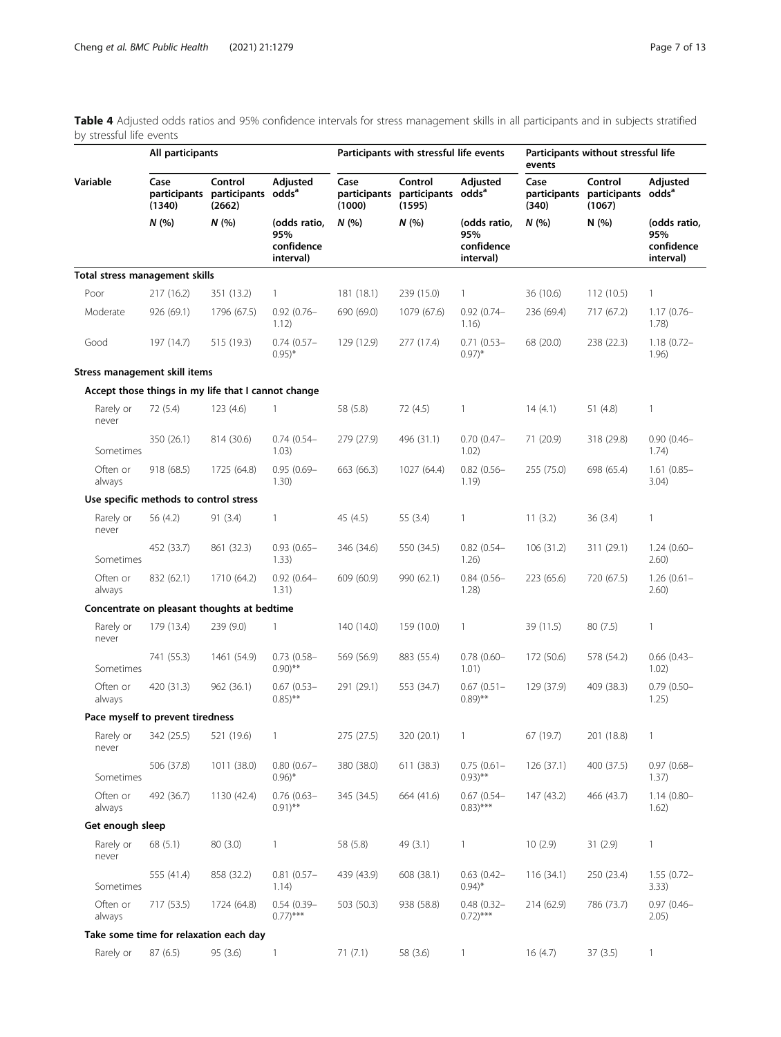<span id="page-6-0"></span>Table 4 Adjusted odds ratios and 95% confidence intervals for stress management skills in all participants and in subjects stratified by stressful life events

| בזונאט טווי ווטונכטונט         | All participants                       |                                                                  |                                                | Participants with stressful life events |                                                                  |                                                | events        |                                                                  | Participants without stressful life            |  |  |
|--------------------------------|----------------------------------------|------------------------------------------------------------------|------------------------------------------------|-----------------------------------------|------------------------------------------------------------------|------------------------------------------------|---------------|------------------------------------------------------------------|------------------------------------------------|--|--|
| Variable                       | Case<br>(1340)                         | Control<br>participants participants odds <sup>a</sup><br>(2662) | Adjusted                                       | Case<br>(1000)                          | Control<br>participants participants odds <sup>a</sup><br>(1595) | Adjusted                                       | Case<br>(340) | Control<br>participants participants odds <sup>a</sup><br>(1067) | Adjusted                                       |  |  |
|                                | N(%                                    | N(%                                                              | (odds ratio,<br>95%<br>confidence<br>interval) | N(%                                     | N(%                                                              | (odds ratio,<br>95%<br>confidence<br>interval) | N(%           | N(%)                                                             | (odds ratio,<br>95%<br>confidence<br>interval) |  |  |
| Total stress management skills |                                        |                                                                  |                                                |                                         |                                                                  |                                                |               |                                                                  |                                                |  |  |
| Poor                           | 217(16.2)                              | 351 (13.2)                                                       | $\mathbf{1}$                                   | 181(18.1)                               | 239 (15.0)                                                       | $\mathbf{1}$                                   | 36 (10.6)     | 112(10.5)                                                        | 1                                              |  |  |
| Moderate                       | 926 (69.1)                             | 1796 (67.5)                                                      | $0.92(0.76 -$<br>1.12)                         | 690 (69.0)                              | 1079 (67.6)                                                      | $0.92(0.74 -$<br>1.16)                         | 236 (69.4)    | 717 (67.2)                                                       | $1.17(0.76 -$<br>1.78)                         |  |  |
| Good                           | 197 (14.7)                             | 515 (19.3)                                                       | $0.74(0.57-$<br>$(0.95)^*$                     | 129 (12.9)                              | 277 (17.4)                                                       | $0.71(0.53 -$<br>$(0.97)^*$                    | 68 (20.0)     | 238 (22.3)                                                       | $1.18(0.72 -$<br>1.96)                         |  |  |
| Stress management skill items  |                                        |                                                                  |                                                |                                         |                                                                  |                                                |               |                                                                  |                                                |  |  |
|                                |                                        | Accept those things in my life that I cannot change              |                                                |                                         |                                                                  |                                                |               |                                                                  |                                                |  |  |
| Rarely or<br>never             | 72 (5.4)                               | 123(4.6)                                                         | $\mathbf{1}$                                   | 58 (5.8)                                | 72 (4.5)                                                         | $\mathbf{1}$                                   | 14(4.1)       | 51 $(4.8)$                                                       | $\mathbf{1}$                                   |  |  |
| Sometimes                      | 350 (26.1)                             | 814 (30.6)                                                       | $0.74(0.54-$<br>1.03)                          | 279 (27.9)                              | 496 (31.1)                                                       | $0.70(0.47 -$<br>1.02)                         | 71 (20.9)     | 318 (29.8)                                                       | $0.90(0.46 -$<br>1.74)                         |  |  |
| Often or<br>always             | 918(68.5)                              | 1725 (64.8)                                                      | $0.95(0.69 -$<br>1.30)                         | 663 (66.3)                              | 1027 (64.4)                                                      | $0.82(0.56 -$<br>1.19)                         | 255 (75.0)    | 698 (65.4)                                                       | $1.61(0.85 -$<br>3.04)                         |  |  |
|                                | Use specific methods to control stress |                                                                  |                                                |                                         |                                                                  |                                                |               |                                                                  |                                                |  |  |
| Rarely or<br>never             | 56 (4.2)                               | 91(3.4)                                                          | $\mathbf{1}$                                   | 45 (4.5)                                | 55 (3.4)                                                         | $\mathbf{1}$                                   | 11(3.2)       | 36(3.4)                                                          | 1                                              |  |  |
| Sometimes                      | 452 (33.7)                             | 861 (32.3)                                                       | $0.93(0.65 -$<br>1.33)                         | 346 (34.6)                              | 550 (34.5)                                                       | $0.82$ (0.54-<br>1.26)                         | 106(31.2)     | 311 (29.1)                                                       | $1.24(0.60 -$<br>2.60)                         |  |  |
| Often or<br>always             | 832 (62.1)                             | 1710 (64.2)                                                      | $0.92(0.64 -$<br>1.31)                         | 609 (60.9)                              | 990 (62.1)                                                       | $0.84(0.56 -$<br>1.28)                         | 223 (65.6)    | 720 (67.5)                                                       | $1.26(0.61 -$<br>2.60)                         |  |  |
|                                |                                        | Concentrate on pleasant thoughts at bedtime                      |                                                |                                         |                                                                  |                                                |               |                                                                  |                                                |  |  |
| Rarely or<br>never             | 179 (13.4)                             | 239 (9.0)                                                        | $\mathbf{1}$                                   | 140 (14.0)                              | 159 (10.0)                                                       | $\mathbf{1}$                                   | 39 (11.5)     | 80(7.5)                                                          | 1                                              |  |  |
| Sometimes                      | 741 (55.3)                             | 1461 (54.9)                                                      | $0.73(0.58 -$<br>$(0.90)$ **                   | 569 (56.9)                              | 883 (55.4)                                                       | $0.78$ $(0.60 -$<br>1.01)                      | 172 (50.6)    | 578 (54.2)                                                       | $0.66(0.43 -$<br>1.02)                         |  |  |
| Often or<br>always             | 420 (31.3)                             | 962 (36.1)                                                       | $0.67(0.53 -$<br>$0.85$ <sup>**</sup>          | 291 (29.1)                              | 553 (34.7)                                                       | $0.67$ $(0.51 -$<br>$(0.89)$ **                | 129 (37.9)    | 409 (38.3)                                                       | $0.79(0.50 -$<br>1.25)                         |  |  |
|                                | Pace myself to prevent tiredness       |                                                                  |                                                |                                         |                                                                  |                                                |               |                                                                  |                                                |  |  |
| Rarely or<br>never             | 342 (25.5)                             | 521 (19.6)                                                       | $\mathbf{1}$                                   | 275 (27.5)                              | 320 (20.1)                                                       | $\overline{1}$                                 | 67 (19.7)     | 201 (18.8)                                                       | 1                                              |  |  |
| Sometimes                      | 506 (37.8)                             | 1011 (38.0)                                                      | $0.80(0.67 -$<br>$0.96$ <sup>*</sup>           | 380 (38.0)                              | 611 (38.3)                                                       | $0.75(0.61 -$<br>$(0.93)$ **                   | 126(37.1)     | 400 (37.5)                                                       | $0.97(0.68 -$<br>1.37)                         |  |  |
| Often or<br>always             | 492 (36.7)                             | 1130 (42.4)                                                      | $0.76$ (0.63-<br>$0.91$ <sup>**</sup>          | 345 (34.5)                              | 664 (41.6)                                                       | $0.67$ $(0.54 -$<br>$(0.83)$ ***               | 147(43.2)     | 466 (43.7)                                                       | $1.14(0.80 -$<br>1.62)                         |  |  |
| Get enough sleep               |                                        |                                                                  |                                                |                                         |                                                                  |                                                |               |                                                                  |                                                |  |  |
| Rarely or<br>never             | 68 (5.1)                               | 80 (3.0)                                                         | $\mathbf{1}$                                   | 58 (5.8)                                | 49 (3.1)                                                         | $\mathbf{1}$                                   | 10(2.9)       | 31(2.9)                                                          | 1                                              |  |  |
| Sometimes                      | 555 (41.4)                             | 858 (32.2)                                                       | $0.81(0.57 -$<br>1.14)                         | 439 (43.9)                              | 608 (38.1)                                                       | $0.63$ $(0.42 -$<br>$0.94$ <sup>*</sup>        | 116(34.1)     | 250 (23.4)                                                       | $1.55(0.72 -$<br>3.33)                         |  |  |
| Often or<br>always             | 717 (53.5)                             | 1724 (64.8)                                                      | $0.54(0.39 -$<br>$(0.77)$ ***                  | 503 (50.3)                              | 938 (58.8)                                                       | $0.48(0.32 -$<br>$(0.72)$ ***                  | 214 (62.9)    | 786 (73.7)                                                       | $0.97(0.46 -$<br>2.05)                         |  |  |
|                                |                                        | Take some time for relaxation each day                           |                                                |                                         |                                                                  |                                                |               |                                                                  |                                                |  |  |
| Rarely or                      | 87 (6.5)                               | 95 (3.6)                                                         | $\mathbf{1}$                                   | 71(7.1)                                 | 58 (3.6)                                                         | $\mathbf{1}$                                   | 16(4.7)       | 37(3.5)                                                          | $\mathbf{1}$                                   |  |  |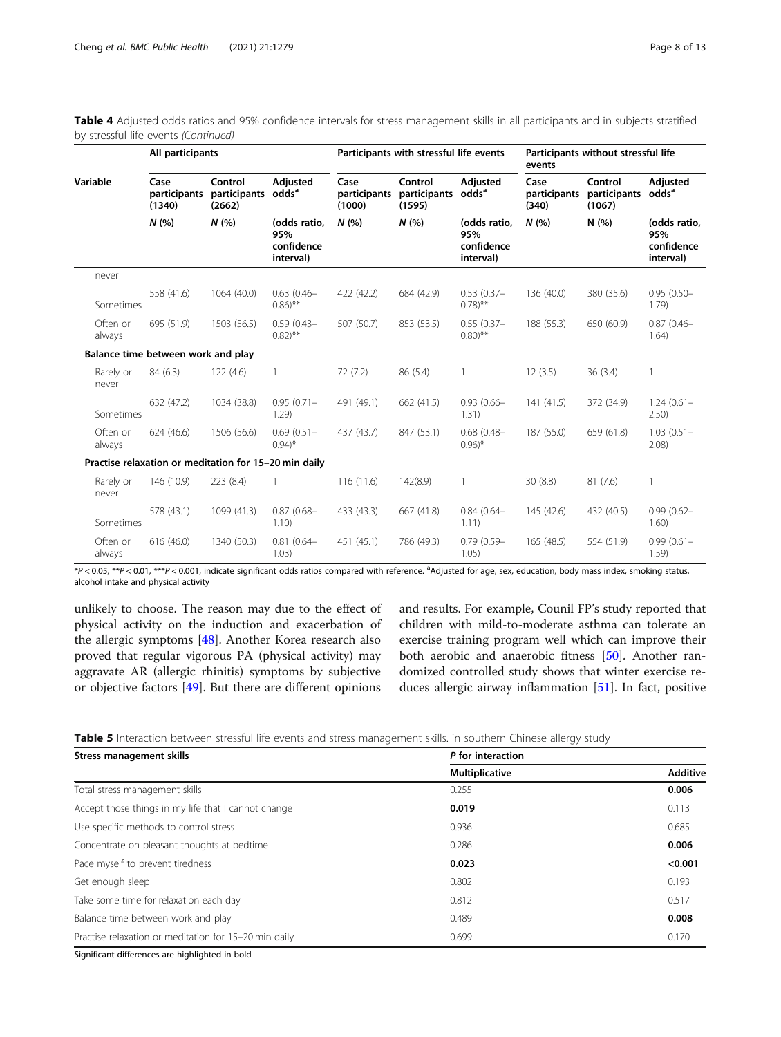|                    |                                    | All participants                                      |                                                |                                | Participants with stressful life events |                                                |                               | Participants without stressful life<br>events |                                                |  |
|--------------------|------------------------------------|-------------------------------------------------------|------------------------------------------------|--------------------------------|-----------------------------------------|------------------------------------------------|-------------------------------|-----------------------------------------------|------------------------------------------------|--|
| Variable           | Case<br>participants<br>(1340)     | Control<br>participants<br>(2662)                     | Adjusted<br>odds <sup>a</sup>                  | Case<br>participants<br>(1000) | Control<br>participants<br>(1595)       | Adjusted<br>odds <sup>a</sup>                  | Case<br>participants<br>(340) | Control<br>participants<br>(1067)             | Adjusted<br>odds <sup>a</sup>                  |  |
|                    | N(%                                | N(%)                                                  | (odds ratio,<br>95%<br>confidence<br>interval) | N(%                            | N(%)                                    | (odds ratio,<br>95%<br>confidence<br>interval) | N(%                           | N(%)                                          | (odds ratio,<br>95%<br>confidence<br>interval) |  |
| never              |                                    |                                                       |                                                |                                |                                         |                                                |                               |                                               |                                                |  |
| Sometimes          | 558 (41.6)                         | 1064 (40.0)                                           | $0.63(0.46 -$<br>$0.86$ <sup>**</sup>          | 422 (42.2)                     | 684 (42.9)                              | $0.53(0.37 -$<br>$(0.78)$ **                   | 136 (40.0)                    | 380 (35.6)                                    | $0.95(0.50 -$<br>1.79)                         |  |
| Often or<br>always | 695 (51.9)                         | 1503 (56.5)                                           | $0.59(0.43 -$<br>$(0.82)$ **                   | 507 (50.7)                     | 853 (53.5)                              | $0.55(0.37 -$<br>$(0.80)$ **                   | 188 (55.3)                    | 650 (60.9)                                    | $0.87(0.46 -$<br>1.64)                         |  |
|                    | Balance time between work and play |                                                       |                                                |                                |                                         |                                                |                               |                                               |                                                |  |
| Rarely or<br>never | 84 (6.3)                           | 122(4.6)                                              | $\mathbf{1}$                                   | 72(7.2)                        | 86 (5.4)                                | $\mathbf{1}$                                   | 12(3.5)                       | 36(3.4)                                       | 1                                              |  |
| Sometimes          | 632 (47.2)                         | 1034 (38.8)                                           | $0.95(0.71 -$<br>1.29)                         | 491 (49.1)                     | 662 (41.5)                              | $0.93(0.66 -$<br>1.31)                         | 141(41.5)                     | 372 (34.9)                                    | $1.24(0.61 -$<br>2.50)                         |  |
| Often or<br>always | 624(46.6)                          | 1506 (56.6)                                           | $0.69(0.51 -$<br>$0.94$ <sup>*</sup>           | 437 (43.7)                     | 847 (53.1)                              | $0.68(0.48 -$<br>$0.96$ <sup>*</sup>           | 187 (55.0)                    | 659 (61.8)                                    | $1.03(0.51 -$<br>$2.08$ )                      |  |
|                    |                                    | Practise relaxation or meditation for 15-20 min daily |                                                |                                |                                         |                                                |                               |                                               |                                                |  |
| Rarely or<br>never | 146 (10.9)                         | 223 (8.4)                                             | $\mathbf{1}$                                   | 116(11.6)                      | 142(8.9)                                | 1                                              | 30(8.8)                       | 81(7.6)                                       | $\mathbf{1}$                                   |  |
| Sometimes          | 578 (43.1)                         | 1099 (41.3)                                           | $0.87(0.68 -$<br>1.10)                         | 433 (43.3)                     | 667 (41.8)                              | $0.84(0.64 -$<br>1.11)                         | 145 (42.6)                    | 432 (40.5)                                    | $0.99(0.62 -$<br>1.60)                         |  |
| Often or<br>always | 616(46.0)                          | 1340 (50.3)                                           | $0.81(0.64 -$<br>1.03)                         | 451 (45.1)                     | 786 (49.3)                              | $0.79(0.59 -$<br>1.05)                         | 165(48.5)                     | 554 (51.9)                                    | $0.99(0.61 -$<br>1.59)                         |  |

<span id="page-7-0"></span>Table 4 Adjusted odds ratios and 95% confidence intervals for stress management skills in all participants and in subjects stratified by stressful life events (Continued)

\*P < 0.05, \*\*P < 0.01, \*\*\*P < 0.001, indicate significant odds ratios compared with reference. <sup>a</sup> Adjusted for age, sex, education, body mass index, smoking status, alcohol intake and physical activity

unlikely to choose. The reason may due to the effect of physical activity on the induction and exacerbation of the allergic symptoms [[48\]](#page-12-0). Another Korea research also proved that regular vigorous PA (physical activity) may aggravate AR (allergic rhinitis) symptoms by subjective or objective factors [[49\]](#page-12-0). But there are different opinions

and results. For example, Counil FP's study reported that children with mild-to-moderate asthma can tolerate an exercise training program well which can improve their both aerobic and anaerobic fitness [\[50\]](#page-12-0). Another randomized controlled study shows that winter exercise reduces allergic airway inflammation [[51\]](#page-12-0). In fact, positive

Table 5 Interaction between stressful life events and stress management skills. in southern Chinese allergy study

| Stress management skills                              | P for interaction |                 |  |  |  |
|-------------------------------------------------------|-------------------|-----------------|--|--|--|
|                                                       | Multiplicative    | <b>Additive</b> |  |  |  |
| Total stress management skills                        | 0.255             | 0.006           |  |  |  |
| Accept those things in my life that I cannot change   | 0.019             | 0.113           |  |  |  |
| Use specific methods to control stress                | 0.936             | 0.685           |  |  |  |
| Concentrate on pleasant thoughts at bedtime           | 0.286             | 0.006           |  |  |  |
| Pace myself to prevent tiredness                      | 0.023             | < 0.001         |  |  |  |
| Get enough sleep                                      | 0.802             | 0.193           |  |  |  |
| Take some time for relaxation each day                | 0.812             | 0.517           |  |  |  |
| Balance time between work and play                    | 0.489             | 0.008           |  |  |  |
| Practise relaxation or meditation for 15-20 min daily | 0.699             | 0.170           |  |  |  |

Significant differences are highlighted in bold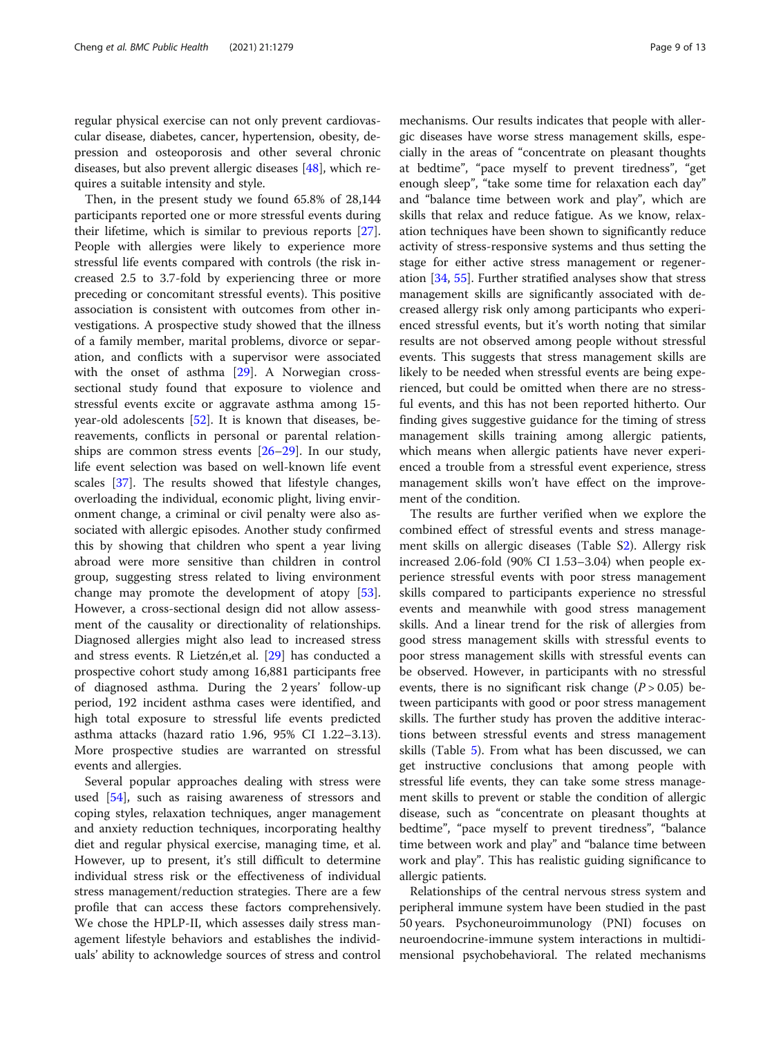regular physical exercise can not only prevent cardiovascular disease, diabetes, cancer, hypertension, obesity, depression and osteoporosis and other several chronic diseases, but also prevent allergic diseases [[48](#page-12-0)], which requires a suitable intensity and style.

Then, in the present study we found 65.8% of 28,144 participants reported one or more stressful events during their lifetime, which is similar to previous reports [\[27](#page-11-0)]. People with allergies were likely to experience more stressful life events compared with controls (the risk increased 2.5 to 3.7-fold by experiencing three or more preceding or concomitant stressful events). This positive association is consistent with outcomes from other investigations. A prospective study showed that the illness of a family member, marital problems, divorce or separation, and conflicts with a supervisor were associated with the onset of asthma [[29\]](#page-11-0). A Norwegian crosssectional study found that exposure to violence and stressful events excite or aggravate asthma among 15 year-old adolescents [[52](#page-12-0)]. It is known that diseases, bereavements, conflicts in personal or parental relationships are common stress events  $[26-29]$  $[26-29]$  $[26-29]$  $[26-29]$  $[26-29]$ . In our study, life event selection was based on well-known life event scales [\[37](#page-11-0)]. The results showed that lifestyle changes, overloading the individual, economic plight, living environment change, a criminal or civil penalty were also associated with allergic episodes. Another study confirmed this by showing that children who spent a year living abroad were more sensitive than children in control group, suggesting stress related to living environment change may promote the development of atopy [\[53](#page-12-0)]. However, a cross-sectional design did not allow assessment of the causality or directionality of relationships. Diagnosed allergies might also lead to increased stress and stress events. R Lietzén,et al. [[29](#page-11-0)] has conducted a prospective cohort study among 16,881 participants free of diagnosed asthma. During the 2 years' follow-up period, 192 incident asthma cases were identified, and high total exposure to stressful life events predicted asthma attacks (hazard ratio 1.96, 95% CI 1.22–3.13). More prospective studies are warranted on stressful events and allergies.

Several popular approaches dealing with stress were used [[54\]](#page-12-0), such as raising awareness of stressors and coping styles, relaxation techniques, anger management and anxiety reduction techniques, incorporating healthy diet and regular physical exercise, managing time, et al. However, up to present, it's still difficult to determine individual stress risk or the effectiveness of individual stress management/reduction strategies. There are a few profile that can access these factors comprehensively. We chose the HPLP-II, which assesses daily stress management lifestyle behaviors and establishes the individuals' ability to acknowledge sources of stress and control

mechanisms. Our results indicates that people with allergic diseases have worse stress management skills, especially in the areas of "concentrate on pleasant thoughts at bedtime", "pace myself to prevent tiredness", "get enough sleep", "take some time for relaxation each day" and "balance time between work and play", which are skills that relax and reduce fatigue. As we know, relaxation techniques have been shown to significantly reduce activity of stress-responsive systems and thus setting the stage for either active stress management or regeneration [\[34](#page-11-0), [55](#page-12-0)]. Further stratified analyses show that stress management skills are significantly associated with decreased allergy risk only among participants who experienced stressful events, but it's worth noting that similar results are not observed among people without stressful events. This suggests that stress management skills are likely to be needed when stressful events are being experienced, but could be omitted when there are no stressful events, and this has not been reported hitherto. Our finding gives suggestive guidance for the timing of stress management skills training among allergic patients, which means when allergic patients have never experienced a trouble from a stressful event experience, stress management skills won't have effect on the improvement of the condition.

The results are further verified when we explore the combined effect of stressful events and stress management skills on allergic diseases (Table [S2](#page-10-0)). Allergy risk increased 2.06-fold (90% CI 1.53–3.04) when people experience stressful events with poor stress management skills compared to participants experience no stressful events and meanwhile with good stress management skills. And a linear trend for the risk of allergies from good stress management skills with stressful events to poor stress management skills with stressful events can be observed. However, in participants with no stressful events, there is no significant risk change  $(P > 0.05)$  between participants with good or poor stress management skills. The further study has proven the additive interactions between stressful events and stress management skills (Table [5](#page-7-0)). From what has been discussed, we can get instructive conclusions that among people with stressful life events, they can take some stress management skills to prevent or stable the condition of allergic disease, such as "concentrate on pleasant thoughts at bedtime", "pace myself to prevent tiredness", "balance time between work and play" and "balance time between work and play". This has realistic guiding significance to allergic patients.

Relationships of the central nervous stress system and peripheral immune system have been studied in the past 50 years. Psychoneuroimmunology (PNI) focuses on neuroendocrine-immune system interactions in multidimensional psychobehavioral. The related mechanisms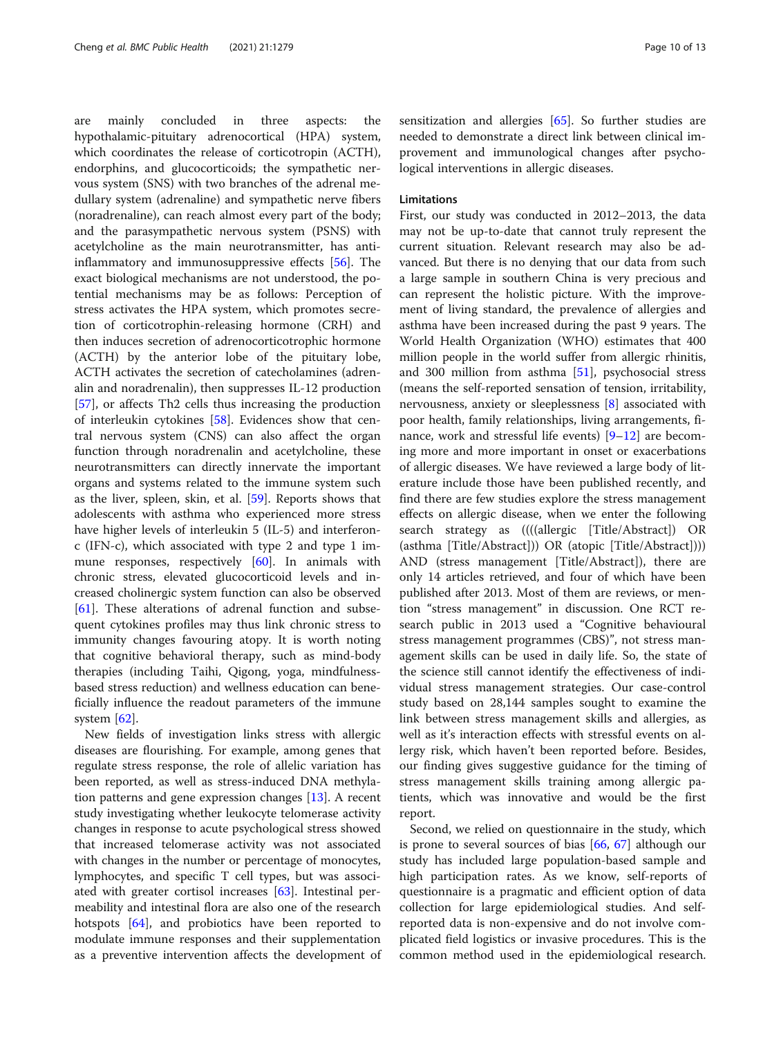are mainly concluded in three aspects: the hypothalamic-pituitary adrenocortical (HPA) system, which coordinates the release of corticotropin (ACTH), endorphins, and glucocorticoids; the sympathetic nervous system (SNS) with two branches of the adrenal medullary system (adrenaline) and sympathetic nerve fibers (noradrenaline), can reach almost every part of the body; and the parasympathetic nervous system (PSNS) with acetylcholine as the main neurotransmitter, has antiinflammatory and immunosuppressive effects [[56\]](#page-12-0). The exact biological mechanisms are not understood, the potential mechanisms may be as follows: Perception of stress activates the HPA system, which promotes secretion of corticotrophin-releasing hormone (CRH) and then induces secretion of adrenocorticotrophic hormone (ACTH) by the anterior lobe of the pituitary lobe, ACTH activates the secretion of catecholamines (adrenalin and noradrenalin), then suppresses IL-12 production [[57\]](#page-12-0), or affects Th2 cells thus increasing the production of interleukin cytokines [\[58](#page-12-0)]. Evidences show that central nervous system (CNS) can also affect the organ function through noradrenalin and acetylcholine, these neurotransmitters can directly innervate the important organs and systems related to the immune system such as the liver, spleen, skin, et al. [\[59](#page-12-0)]. Reports shows that adolescents with asthma who experienced more stress have higher levels of interleukin 5 (IL-5) and interferonc (IFN-c), which associated with type 2 and type 1 im-mune responses, respectively [[60\]](#page-12-0). In animals with chronic stress, elevated glucocorticoid levels and increased cholinergic system function can also be observed [[61\]](#page-12-0). These alterations of adrenal function and subsequent cytokines profiles may thus link chronic stress to immunity changes favouring atopy. It is worth noting that cognitive behavioral therapy, such as mind-body therapies (including Taihi, Qigong, yoga, mindfulnessbased stress reduction) and wellness education can beneficially influence the readout parameters of the immune system  $[62]$  $[62]$  $[62]$ .

New fields of investigation links stress with allergic diseases are flourishing. For example, among genes that regulate stress response, the role of allelic variation has been reported, as well as stress-induced DNA methylation patterns and gene expression changes [[13\]](#page-11-0). A recent study investigating whether leukocyte telomerase activity changes in response to acute psychological stress showed that increased telomerase activity was not associated with changes in the number or percentage of monocytes, lymphocytes, and specific T cell types, but was associated with greater cortisol increases [[63\]](#page-12-0). Intestinal permeability and intestinal flora are also one of the research hotspots [[64\]](#page-12-0), and probiotics have been reported to modulate immune responses and their supplementation as a preventive intervention affects the development of sensitization and allergies [[65\]](#page-12-0). So further studies are needed to demonstrate a direct link between clinical improvement and immunological changes after psychological interventions in allergic diseases.

#### Limitations

First, our study was conducted in 2012–2013, the data may not be up-to-date that cannot truly represent the current situation. Relevant research may also be advanced. But there is no denying that our data from such a large sample in southern China is very precious and can represent the holistic picture. With the improvement of living standard, the prevalence of allergies and asthma have been increased during the past 9 years. The World Health Organization (WHO) estimates that 400 million people in the world suffer from allergic rhinitis, and 300 million from asthma [\[51\]](#page-12-0), psychosocial stress (means the self-reported sensation of tension, irritability, nervousness, anxiety or sleeplessness [\[8](#page-11-0)] associated with poor health, family relationships, living arrangements, finance, work and stressful life events) [[9](#page-11-0)–[12](#page-11-0)] are becoming more and more important in onset or exacerbations of allergic diseases. We have reviewed a large body of literature include those have been published recently, and find there are few studies explore the stress management effects on allergic disease, when we enter the following search strategy as ((((allergic [Title/Abstract]) OR (asthma [Title/Abstract])) OR (atopic [Title/Abstract]))) AND (stress management [Title/Abstract]), there are only 14 articles retrieved, and four of which have been published after 2013. Most of them are reviews, or mention "stress management" in discussion. One RCT research public in 2013 used a "Cognitive behavioural stress management programmes (CBS)", not stress management skills can be used in daily life. So, the state of the science still cannot identify the effectiveness of individual stress management strategies. Our case-control study based on 28,144 samples sought to examine the link between stress management skills and allergies, as well as it's interaction effects with stressful events on allergy risk, which haven't been reported before. Besides, our finding gives suggestive guidance for the timing of stress management skills training among allergic patients, which was innovative and would be the first report.

Second, we relied on questionnaire in the study, which is prone to several sources of bias [\[66,](#page-12-0) [67](#page-12-0)] although our study has included large population-based sample and high participation rates. As we know, self-reports of questionnaire is a pragmatic and efficient option of data collection for large epidemiological studies. And selfreported data is non-expensive and do not involve complicated field logistics or invasive procedures. This is the common method used in the epidemiological research.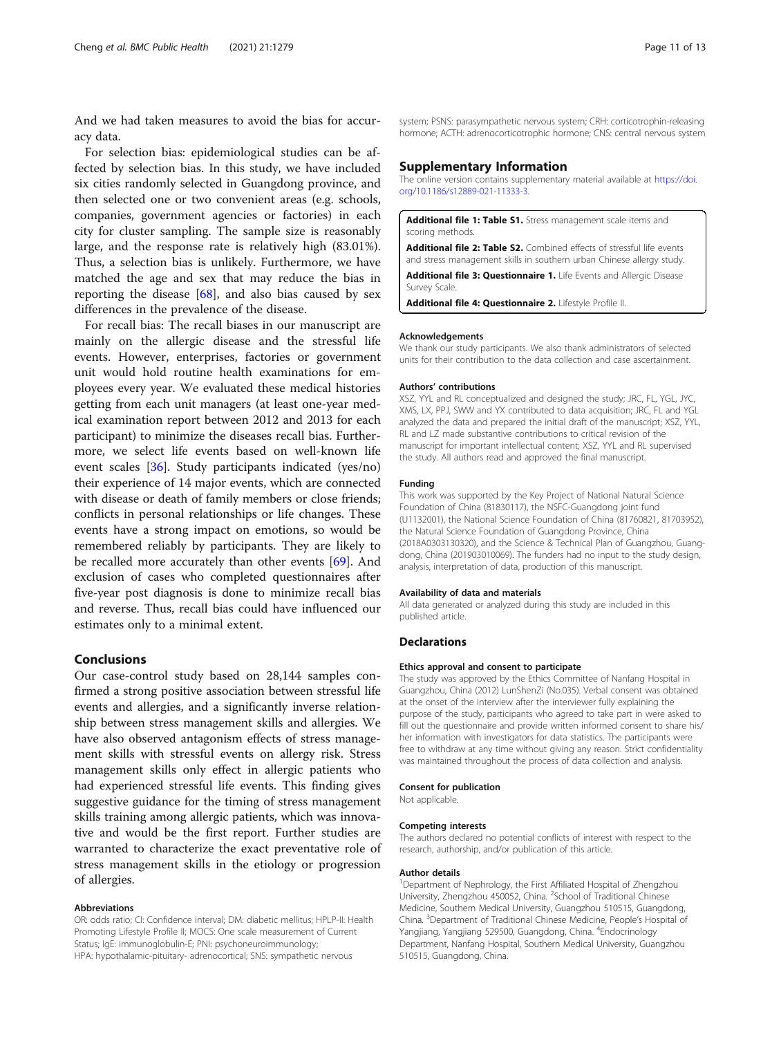<span id="page-10-0"></span>And we had taken measures to avoid the bias for accuracy data.

For selection bias: epidemiological studies can be affected by selection bias. In this study, we have included six cities randomly selected in Guangdong province, and then selected one or two convenient areas (e.g. schools, companies, government agencies or factories) in each city for cluster sampling. The sample size is reasonably large, and the response rate is relatively high (83.01%). Thus, a selection bias is unlikely. Furthermore, we have matched the age and sex that may reduce the bias in reporting the disease  $[68]$  $[68]$ , and also bias caused by sex differences in the prevalence of the disease.

For recall bias: The recall biases in our manuscript are mainly on the allergic disease and the stressful life events. However, enterprises, factories or government unit would hold routine health examinations for employees every year. We evaluated these medical histories getting from each unit managers (at least one-year medical examination report between 2012 and 2013 for each participant) to minimize the diseases recall bias. Furthermore, we select life events based on well-known life event scales [[36](#page-11-0)]. Study participants indicated (yes/no) their experience of 14 major events, which are connected with disease or death of family members or close friends; conflicts in personal relationships or life changes. These events have a strong impact on emotions, so would be remembered reliably by participants. They are likely to be recalled more accurately than other events [\[69](#page-12-0)]. And exclusion of cases who completed questionnaires after five-year post diagnosis is done to minimize recall bias and reverse. Thus, recall bias could have influenced our estimates only to a minimal extent.

#### Conclusions

Our case-control study based on 28,144 samples confirmed a strong positive association between stressful life events and allergies, and a significantly inverse relationship between stress management skills and allergies. We have also observed antagonism effects of stress management skills with stressful events on allergy risk. Stress management skills only effect in allergic patients who had experienced stressful life events. This finding gives suggestive guidance for the timing of stress management skills training among allergic patients, which was innovative and would be the first report. Further studies are warranted to characterize the exact preventative role of stress management skills in the etiology or progression of allergies.

#### Abbreviations

OR: odds ratio; CI: Confidence interval; DM: diabetic mellitus; HPLP-II: Health Promoting Lifestyle Profile II; MOCS: One scale measurement of Current Status; IgE: immunoglobulin-E; PNI: psychoneuroimmunology; HPA: hypothalamic-pituitary- adrenocortical; SNS: sympathetic nervous

system; PSNS: parasympathetic nervous system; CRH: corticotrophin-releasing hormone; ACTH: adrenocorticotrophic hormone; CNS: central nervous system

#### Supplementary Information

The online version contains supplementary material available at [https://doi.](https://doi.org/10.1186/s12889-021-11333-3) [org/10.1186/s12889-021-11333-3.](https://doi.org/10.1186/s12889-021-11333-3)

Additional file 1: Table S1. Stress management scale items and scoring methods

Additional file 2: Table S2. Combined effects of stressful life events and stress management skills in southern urban Chinese allergy study.

Additional file 3: Questionnaire 1. Life Events and Allergic Disease Survey Scale.

Additional file 4: Questionnaire 2. Lifestyle Profile II.

#### Acknowledgements

We thank our study participants. We also thank administrators of selected units for their contribution to the data collection and case ascertainment.

#### Authors' contributions

XSZ, YYL and RL conceptualized and designed the study; JRC, FL, YGL, JYC, XMS, LX, PPJ, SWW and YX contributed to data acquisition; JRC, FL and YGL analyzed the data and prepared the initial draft of the manuscript; XSZ, YYL, RL and LZ made substantive contributions to critical revision of the manuscript for important intellectual content; XSZ, YYL and RL supervised the study. All authors read and approved the final manuscript.

#### Funding

This work was supported by the Key Project of National Natural Science Foundation of China (81830117), the NSFC-Guangdong joint fund (U1132001), the National Science Foundation of China (81760821, 81703952), the Natural Science Foundation of Guangdong Province, China (2018A0303130320), and the Science & Technical Plan of Guangzhou, Guangdong, China (201903010069). The funders had no input to the study design, analysis, interpretation of data, production of this manuscript.

#### Availability of data and materials

All data generated or analyzed during this study are included in this published article.

#### **Declarations**

#### Ethics approval and consent to participate

The study was approved by the Ethics Committee of Nanfang Hospital in Guangzhou, China (2012) LunShenZi (No.035). Verbal consent was obtained at the onset of the interview after the interviewer fully explaining the purpose of the study, participants who agreed to take part in were asked to fill out the questionnaire and provide written informed consent to share his/ her information with investigators for data statistics. The participants were free to withdraw at any time without giving any reason. Strict confidentiality was maintained throughout the process of data collection and analysis.

#### Consent for publication

Not applicable.

#### Competing interests

The authors declared no potential conflicts of interest with respect to the research, authorship, and/or publication of this article.

#### Author details

<sup>1</sup>Department of Nephrology, the First Affiliated Hospital of Zhengzhou University, Zhengzhou 450052, China. <sup>2</sup>School of Traditional Chinese Medicine, Southern Medical University, Guangzhou 510515, Guangdong, China. <sup>3</sup>Department of Traditional Chinese Medicine, People's Hospital of Yangjiang, Yangjiang 529500, Guangdong, China. <sup>4</sup>Endocrinology Department, Nanfang Hospital, Southern Medical University, Guangzhou 510515, Guangdong, China.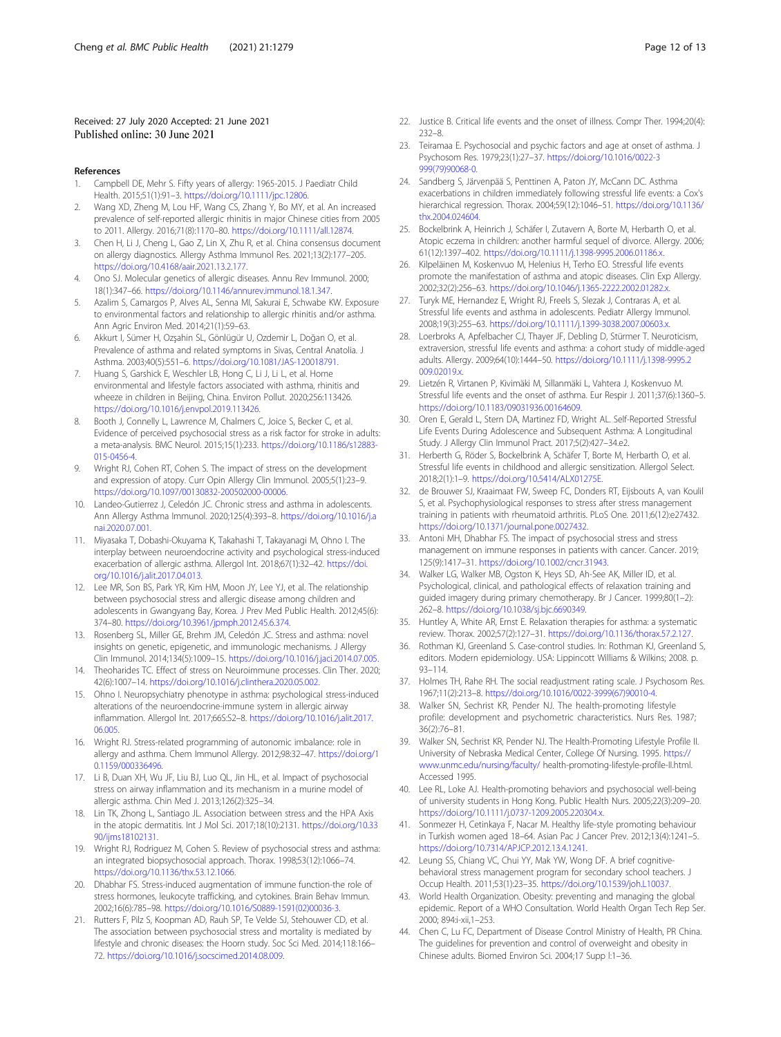#### <span id="page-11-0"></span>Received: 27 July 2020 Accepted: 21 June 2021 Published online: 30 June 2021

- References
- 1. Campbell DE, Mehr S. Fifty years of allergy: 1965-2015. J Paediatr Child Health. 2015;51(1):91–3. <https://doi.org/10.1111/jpc.12806>.
- 2. Wang XD, Zheng M, Lou HF, Wang CS, Zhang Y, Bo MY, et al. An increased prevalence of self-reported allergic rhinitis in major Chinese cities from 2005 to 2011. Allergy. 2016;71(8):1170–80. [https://doi.org/10.1111/all.12874.](https://doi.org/10.1111/all.12874)
- 3. Chen H, Li J, Cheng L, Gao Z, Lin X, Zhu R, et al. China consensus document on allergy diagnostics. Allergy Asthma Immunol Res. 2021;13(2):177–205. [https://doi.org/10.4168/aair.2021.13.2.177.](https://doi.org/10.4168/aair.2021.13.2.177)
- 4. Ono SJ. Molecular genetics of allergic diseases. Annu Rev Immunol. 2000; 18(1):347–66. <https://doi.org/10.1146/annurev.immunol.18.1.347>.
- 5. Azalim S, Camargos P, Alves AL, Senna MI, Sakurai E, Schwabe KW. Exposure to environmental factors and relationship to allergic rhinitis and/or asthma. Ann Agric Environ Med. 2014;21(1):59–63.
- 6. Akkurt I, Sümer H, Ozşahin SL, Gönlügür U, Ozdemir L, Doğan O, et al. Prevalence of asthma and related symptoms in Sivas, Central Anatolia. J Asthma. 2003;40(5):551–6. <https://doi.org/10.1081/JAS-120018791>.
- 7. Huang S, Garshick E, Weschler LB, Hong C, Li J, Li L, et al. Home environmental and lifestyle factors associated with asthma, rhinitis and wheeze in children in Beijing, China. Environ Pollut. 2020;256:113426. [https://doi.org/10.1016/j.envpol.2019.113426.](https://doi.org/10.1016/j.envpol.2019.113426)
- 8. Booth J, Connelly L, Lawrence M, Chalmers C, Joice S, Becker C, et al. Evidence of perceived psychosocial stress as a risk factor for stroke in adults: a meta-analysis. BMC Neurol. 2015;15(1):233. [https://doi.org/10.1186/s12883-](https://doi.org/10.1186/s12883-015-0456-4) [015-0456-4](https://doi.org/10.1186/s12883-015-0456-4).
- 9. Wright RJ, Cohen RT, Cohen S. The impact of stress on the development and expression of atopy. Curr Opin Allergy Clin Immunol. 2005;5(1):23–9. <https://doi.org/10.1097/00130832-200502000-00006>.
- 10. Landeo-Gutierrez J, Celedón JC. Chronic stress and asthma in adolescents. Ann Allergy Asthma Immunol. 2020;125(4):393–8. [https://doi.org/10.1016/j.a](https://doi.org/10.1016/j.anai.2020.07.001) [nai.2020.07.001](https://doi.org/10.1016/j.anai.2020.07.001).
- 11. Miyasaka T, Dobashi-Okuyama K, Takahashi T, Takayanagi M, Ohno I. The interplay between neuroendocrine activity and psychological stress-induced exacerbation of allergic asthma. Allergol Int. 2018;67(1):32–42. [https://doi.](https://doi.org/10.1016/j.alit.2017.04.013) [org/10.1016/j.alit.2017.04.013](https://doi.org/10.1016/j.alit.2017.04.013).
- 12. Lee MR, Son BS, Park YR, Kim HM, Moon JY, Lee YJ, et al. The relationship between psychosocial stress and allergic disease among children and adolescents in Gwangyang Bay, Korea. J Prev Med Public Health. 2012;45(6): 374–80. <https://doi.org/10.3961/jpmph.2012.45.6.374>.
- 13. Rosenberg SL, Miller GE, Brehm JM, Celedón JC. Stress and asthma: novel insights on genetic, epigenetic, and immunologic mechanisms. J Allergy Clin Immunol. 2014;134(5):1009–15. [https://doi.org/10.1016/j.jaci.2014.07.005.](https://doi.org/10.1016/j.jaci.2014.07.005)
- 14. Theoharides TC. Effect of stress on Neuroimmune processes. Clin Ther. 2020; 42(6):1007–14. [https://doi.org/10.1016/j.clinthera.2020.05.002.](https://doi.org/10.1016/j.clinthera.2020.05.002)
- 15. Ohno I. Neuropsychiatry phenotype in asthma: psychological stress-induced alterations of the neuroendocrine-immune system in allergic airway inflammation. Allergol Int. 2017;66S:S2–8. [https://doi.org/10.1016/j.alit.2017.](https://doi.org/10.1016/j.alit.2017.06.005) [06.005.](https://doi.org/10.1016/j.alit.2017.06.005)
- 16. Wright RJ. Stress-related programming of autonomic imbalance: role in allergy and asthma. Chem Immunol Allergy. 2012;98:32–47. [https://doi.org/1](https://doi.org/10.1159/000336496) [0.1159/000336496](https://doi.org/10.1159/000336496).
- 17. Li B, Duan XH, Wu JF, Liu BJ, Luo QL, Jin HL, et al. Impact of psychosocial stress on airway inflammation and its mechanism in a murine model of allergic asthma. Chin Med J. 2013;126(2):325–34.
- 18. Lin TK, Zhong L, Santiago JL. Association between stress and the HPA Axis in the atopic dermatitis. Int J Mol Sci. 2017;18(10):2131. [https://doi.org/10.33](https://doi.org/10.3390/ijms18102131) 90/iims18102131.
- 19. Wright RJ, Rodriguez M, Cohen S. Review of psychosocial stress and asthma: an integrated biopsychosocial approach. Thorax. 1998;53(12):1066–74. [https://doi.org/10.1136/thx.53.12.1066.](https://doi.org/10.1136/thx.53.12.1066)
- 20. Dhabhar FS. Stress-induced augmentation of immune function-the role of stress hormones, leukocyte trafficking, and cytokines. Brain Behav Immun. 2002;16(6):785–98. [https://doi.org/10.1016/S0889-1591\(02\)00036-3.](https://doi.org/10.1016/S0889-1591(02)00036-3)
- 21. Rutters F, Pilz S, Koopman AD, Rauh SP, Te Velde SJ, Stehouwer CD, et al. The association between psychosocial stress and mortality is mediated by lifestyle and chronic diseases: the Hoorn study. Soc Sci Med. 2014;118:166– 72. [https://doi.org/10.1016/j.socscimed.2014.08.009.](https://doi.org/10.1016/j.socscimed.2014.08.009)
- 22. Justice B. Critical life events and the onset of illness. Compr Ther. 1994;20(4): 232–8.
- 23. Teiramaa E. Psychosocial and psychic factors and age at onset of asthma. J Psychosom Res. 1979;23(1):27–37. [https://doi.org/10.1016/0022-3](https://doi.org/10.1016/0022-3999(79)90068-0) [999\(79\)90068-0](https://doi.org/10.1016/0022-3999(79)90068-0).
- 24. Sandberg S, Järvenpää S, Penttinen A, Paton JY, McCann DC. Asthma exacerbations in children immediately following stressful life events: a Cox's hierarchical regression. Thorax. 2004;59(12):1046–51. [https://doi.org/10.1136/](https://doi.org/10.1136/thx.2004.024604) [thx.2004.024604](https://doi.org/10.1136/thx.2004.024604).
- 25. Bockelbrink A, Heinrich J, Schäfer I, Zutavern A, Borte M, Herbarth O, et al. Atopic eczema in children: another harmful sequel of divorce. Allergy. 2006; 61(12):1397–402. [https://doi.org/10.1111/j.1398-9995.2006.01186.x.](https://doi.org/10.1111/j.1398-9995.2006.01186.x)
- 26. Kilpeläinen M, Koskenvuo M, Helenius H, Terho EO. Stressful life events promote the manifestation of asthma and atopic diseases. Clin Exp Allergy. 2002;32(2):256–63. <https://doi.org/10.1046/j.1365-2222.2002.01282.x>.
- 27. Turyk ME, Hernandez E, Wright RJ, Freels S, Slezak J, Contraras A, et al. Stressful life events and asthma in adolescents. Pediatr Allergy Immunol. 2008;19(3):255–63. <https://doi.org/10.1111/j.1399-3038.2007.00603.x>.
- 28. Loerbroks A, Apfelbacher CJ, Thayer JF, Debling D, Stürmer T. Neuroticism, extraversion, stressful life events and asthma: a cohort study of middle-aged adults. Allergy. 2009;64(10):1444–50. [https://doi.org/10.1111/j.1398-9995.2](https://doi.org/10.1111/j.1398-9995.2009.02019.x) [009.02019.x](https://doi.org/10.1111/j.1398-9995.2009.02019.x).
- 29. Lietzén R, Virtanen P, Kivimäki M, Sillanmäki L, Vahtera J, Koskenvuo M. Stressful life events and the onset of asthma. Eur Respir J. 2011;37(6):1360–5. [https://doi.org/10.1183/09031936.00164609.](https://doi.org/10.1183/09031936.00164609)
- 30. Oren E, Gerald L, Stern DA, Martinez FD, Wright AL. Self-Reported Stressful Life Events During Adolescence and Subsequent Asthma: A Longitudinal Study. J Allergy Clin Immunol Pract. 2017;5(2):427–34.e2.
- 31. Herberth G, Röder S, Bockelbrink A, Schäfer T, Borte M, Herbarth O, et al. Stressful life events in childhood and allergic sensitization. Allergol Select. 2018;2(1):1–9. [https://doi.org/10.5414/ALX01275E.](https://doi.org/10.5414/ALX01275E)
- 32. de Brouwer SJ, Kraaimaat FW, Sweep FC, Donders RT, Eijsbouts A, van Koulil S, et al. Psychophysiological responses to stress after stress management training in patients with rheumatoid arthritis. PLoS One. 2011;6(12):e27432. [https://doi.org/10.1371/journal.pone.0027432.](https://doi.org/10.1371/journal.pone.0027432)
- 33. Antoni MH, Dhabhar FS. The impact of psychosocial stress and stress management on immune responses in patients with cancer. Cancer. 2019; 125(9):1417–31. <https://doi.org/10.1002/cncr.31943>.
- 34. Walker LG, Walker MB, Ogston K, Heys SD, Ah-See AK, Miller ID, et al. Psychological, clinical, and pathological effects of relaxation training and guided imagery during primary chemotherapy. Br J Cancer. 1999;80(1–2): 262–8. <https://doi.org/10.1038/sj.bjc.6690349>.
- 35. Huntley A, White AR, Ernst E. Relaxation therapies for asthma: a systematic review. Thorax. 2002;57(2):127–31. <https://doi.org/10.1136/thorax.57.2.127>.
- 36. Rothman KJ, Greenland S. Case-control studies. In: Rothman KJ, Greenland S, editors. Modern epidemiology. USA: Lippincott Williams & Wilkins; 2008. p. 93–114.
- 37. Holmes TH, Rahe RH. The social readjustment rating scale. J Psychosom Res. 1967;11(2):213–8. [https://doi.org/10.1016/0022-3999\(67\)90010-4.](https://doi.org/10.1016/0022-3999(67)90010-4)
- 38. Walker SN, Sechrist KR, Pender NJ. The health-promoting lifestyle profile: development and psychometric characteristics. Nurs Res. 1987; 36(2):76–81.
- 39. Walker SN, Sechrist KR, Pender NJ. The Health-Promoting Lifestyle Profile II. University of Nebraska Medical Center, College Of Nursing. 1995. [https://](https://www.unmc.edu/nursing/faculty/) [www.unmc.edu/nursing/faculty/](https://www.unmc.edu/nursing/faculty/) health-promoting-lifestyle-profile-II.html. Accessed 1995.
- 40. Lee RL, Loke AJ. Health-promoting behaviors and psychosocial well-being of university students in Hong Kong. Public Health Nurs. 2005;22(3):209–20. [https://doi.org/10.1111/j.0737-1209.2005.220304.x.](https://doi.org/10.1111/j.0737-1209.2005.220304.x)
- 41. Sonmezer H, Cetinkaya F, Nacar M. Healthy life-style promoting behaviour in Turkish women aged 18–64. Asian Pac J Cancer Prev. 2012;13(4):1241–5. [https://doi.org/10.7314/APJCP.2012.13.4.1241.](https://doi.org/10.7314/APJCP.2012.13.4.1241)
- 42. Leung SS, Chiang VC, Chui YY, Mak YW, Wong DF. A brief cognitivebehavioral stress management program for secondary school teachers. J Occup Health. 2011;53(1):23–35. <https://doi.org/10.1539/joh.L10037>.
- 43. World Health Organization. Obesity: preventing and managing the global epidemic. Report of a WHO Consultation. World Health Organ Tech Rep Ser. 2000; 894:i-xii,1–253.
- 44. Chen C, Lu FC, Department of Disease Control Ministry of Health, PR China. The guidelines for prevention and control of overweight and obesity in Chinese adults. Biomed Environ Sci. 2004;17 Supp l:1–36.